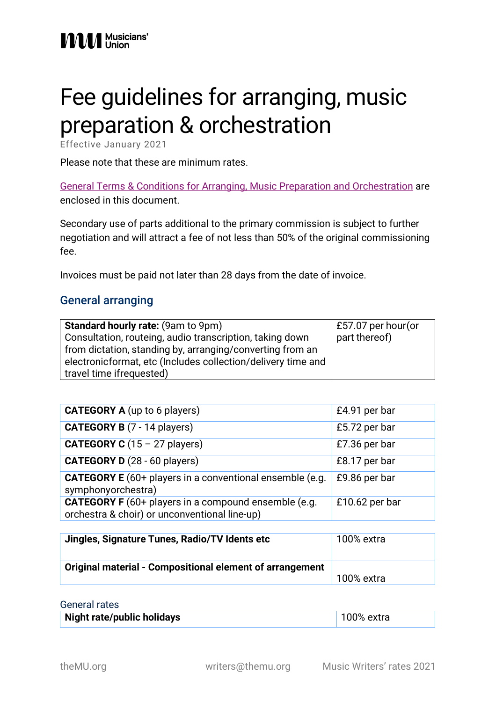# Fee guidelines for arranging, music preparation & orchestration

Effective January 2021

Please note that these are minimum rates.

[General Terms & Conditions for Arranging, Music Preparation and Orchestration](#page-4-0) are enclosed in this document.

Secondary use of parts additional to the primary commission is subject to further negotiation and will attract a fee of not less than 50% of the original commissioning fee.

Invoices must be paid not later than 28 days from the date of invoice.

#### General arranging

| <b>Standard hourly rate: (9am to 9pm)</b>                    | £57.07 per hour(or |
|--------------------------------------------------------------|--------------------|
| Consultation, routeing, audio transcription, taking down     | part thereof)      |
| from dictation, standing by, arranging/converting from an    |                    |
| electronicformat, etc (Includes collection/delivery time and |                    |
| travel time if requested)                                    |                    |

| <b>CATEGORY A</b> (up to 6 players)                                                                          | £4.91 per bar  |
|--------------------------------------------------------------------------------------------------------------|----------------|
| <b>CATEGORY B</b> (7 - 14 players)                                                                           | £5.72 per bar  |
| <b>CATEGORY C</b> $(15 - 27$ players)                                                                        | £7.36 per bar  |
| <b>CATEGORY D</b> (28 - 60 players)                                                                          | £8.17 per bar  |
| <b>CATEGORY E</b> (60+ players in a conventional ensemble (e.g.<br>symphonyorchestra)                        | £9.86 per bar  |
| <b>CATEGORY F</b> (60+ players in a compound ensemble (e.g.<br>orchestra & choir) or unconventional line-up) | £10.62 per bar |

| Jingles, Signature Tunes, Radio/TV Idents etc            | 100% extra |
|----------------------------------------------------------|------------|
| Original material - Compositional element of arrangement | 100% extra |

#### General rates

| Night rate/public holidays<br>$ 100\%$ extra |  |
|----------------------------------------------|--|
|----------------------------------------------|--|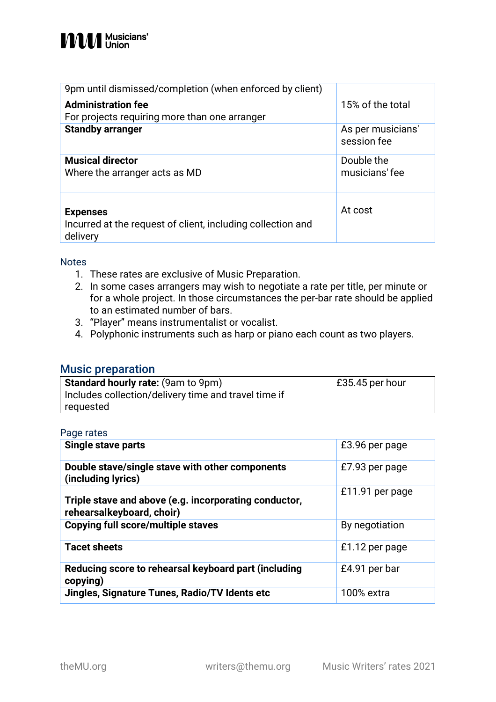| 9pm until dismissed/completion (when enforced by client)                                   |                                  |
|--------------------------------------------------------------------------------------------|----------------------------------|
| <b>Administration fee</b>                                                                  | 15% of the total                 |
| For projects requiring more than one arranger                                              |                                  |
| <b>Standby arranger</b>                                                                    | As per musicians'<br>session fee |
| <b>Musical director</b><br>Where the arranger acts as MD                                   | Double the<br>musicians' fee     |
| <b>Expenses</b><br>Incurred at the request of client, including collection and<br>delivery | At cost                          |

#### **Notes**

- 1. These rates are exclusive of Music Preparation.
- 2. In some cases arrangers may wish to negotiate a rate per title, per minute or for a whole project. In those circumstances the per-bar rate should be applied to an estimated number of bars.
- 3. "Player" means instrumentalist or vocalist.
- 4. Polyphonic instruments such as harp or piano each count as two players.

#### Music preparation

| <b>Standard hourly rate: (9am to 9pm)</b>            | $\vert$ £35.45 per hour |
|------------------------------------------------------|-------------------------|
| Includes collection/delivery time and travel time if |                         |
| requested                                            |                         |

#### Page rates

| Single stave parts                                                                 | £3.96 per page  |
|------------------------------------------------------------------------------------|-----------------|
| Double stave/single stave with other components<br>(including lyrics)              | £7.93 per page  |
| Triple stave and above (e.g. incorporating conductor,<br>rehearsalkeyboard, choir) | £11.91 per page |
| <b>Copying full score/multiple staves</b>                                          | By negotiation  |
| <b>Tacet sheets</b>                                                                | £1.12 per page  |
| Reducing score to rehearsal keyboard part (including<br>copying)                   | £4.91 per bar   |
| Jingles, Signature Tunes, Radio/TV Idents etc                                      | 100% extra      |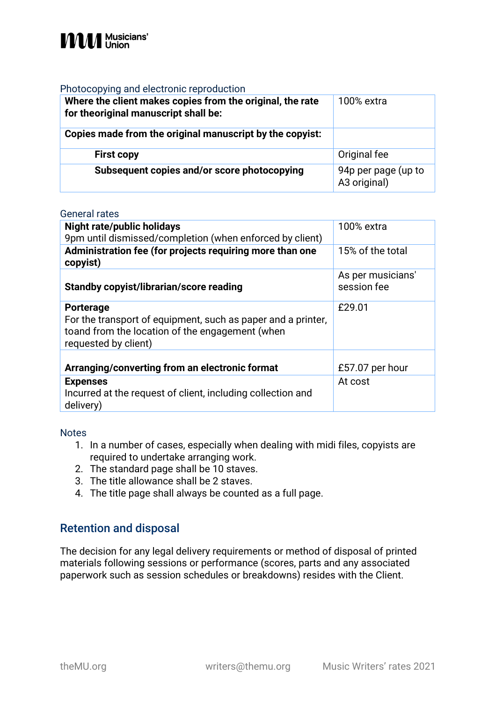

#### Photocopying and electronic reproduction

| Where the client makes copies from the original, the rate<br>for theoriginal manuscript shall be: | 100% extra                          |
|---------------------------------------------------------------------------------------------------|-------------------------------------|
| Copies made from the original manuscript by the copyist:                                          |                                     |
| <b>First copy</b>                                                                                 | Original fee                        |
| Subsequent copies and/or score photocopying                                                       | 94p per page (up to<br>A3 original) |

#### General rates

| <b>Night rate/public holidays</b><br>9pm until dismissed/completion (when enforced by client)<br>Administration fee (for projects requiring more than one<br>copyist) | 100% extra<br>15% of the total   |
|-----------------------------------------------------------------------------------------------------------------------------------------------------------------------|----------------------------------|
| <b>Standby copyist/librarian/score reading</b>                                                                                                                        | As per musicians'<br>session fee |
| <b>Porterage</b><br>For the transport of equipment, such as paper and a printer,<br>toand from the location of the engagement (when<br>requested by client)           | £29.01                           |
| Arranging/converting from an electronic format                                                                                                                        | £57.07 per hour                  |
| <b>Expenses</b><br>Incurred at the request of client, including collection and<br>delivery)                                                                           | At cost                          |

#### **Notes**

- 1. In a number of cases, especially when dealing with midi files, copyists are required to undertake arranging work.
- 2. The standard page shall be 10 staves.
- 3. The title allowance shall be 2 staves.
- 4. The title page shall always be counted as a full page.

#### Retention and disposal

The decision for any legal delivery requirements or method of disposal of printed materials following sessions or performance (scores, parts and any associated paperwork such as session schedules or breakdowns) resides with the Client.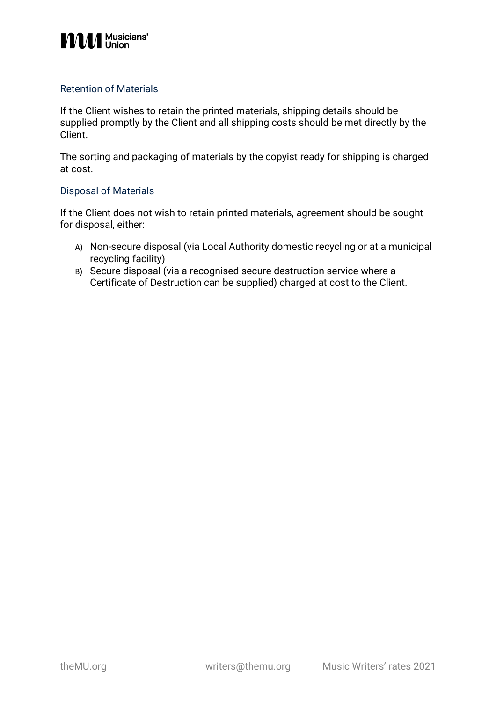## **MMM** Musicians'

#### Retention of Materials

If the Client wishes to retain the printed materials, shipping details should be supplied promptly by the Client and all shipping costs should be met directly by the Client.

The sorting and packaging of materials by the copyist ready for shipping is charged at cost.

#### Disposal of Materials

If the Client does not wish to retain printed materials, agreement should be sought for disposal, either:

- A) Non-secure disposal (via Local Authority domestic recycling or at a municipal recycling facility)
- B) Secure disposal (via a recognised secure destruction service where a Certificate of Destruction can be supplied) charged at cost to the Client.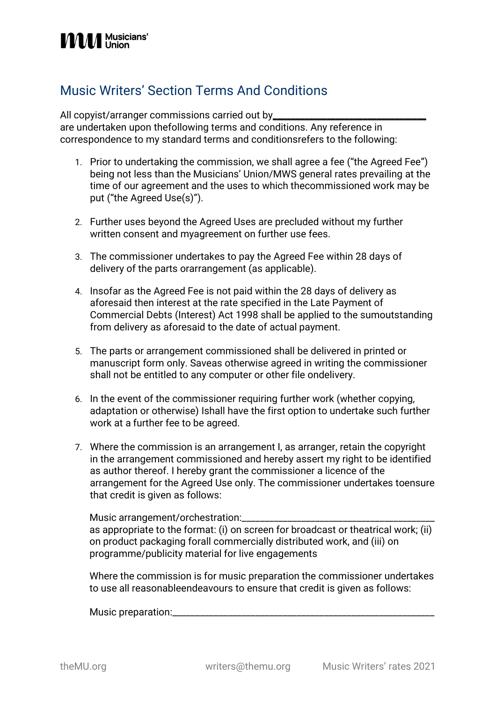### <span id="page-4-0"></span>Music Writers' Section Terms And Conditions

All copyist/arranger commissions carried out by\_\_\_\_\_\_\_\_\_\_\_\_\_\_\_\_\_\_\_\_\_\_\_\_\_\_\_\_\_\_\_\_\_ are undertaken upon thefollowing terms and conditions. Any reference in correspondence to my standard terms and conditionsrefers to the following:

- 1. Prior to undertaking the commission, we shall agree a fee ("the Agreed Fee") being not less than the Musicians' Union/MWS general rates prevailing at the time of our agreement and the uses to which thecommissioned work may be put ("the Agreed Use(s)").
- 2. Further uses beyond the Agreed Uses are precluded without my further written consent and myagreement on further use fees.
- 3. The commissioner undertakes to pay the Agreed Fee within 28 days of delivery of the parts orarrangement (as applicable).
- 4. Insofar as the Agreed Fee is not paid within the 28 days of delivery as aforesaid then interest at the rate specified in the Late Payment of Commercial Debts (Interest) Act 1998 shall be applied to the sumoutstanding from delivery as aforesaid to the date of actual payment.
- 5. The parts or arrangement commissioned shall be delivered in printed or manuscript form only. Saveas otherwise agreed in writing the commissioner shall not be entitled to any computer or other file ondelivery.
- 6. In the event of the commissioner requiring further work (whether copying, adaptation or otherwise) Ishall have the first option to undertake such further work at a further fee to be agreed.
- 7. Where the commission is an arrangement I, as arranger, retain the copyright in the arrangement commissioned and hereby assert my right to be identified as author thereof. I hereby grant the commissioner a licence of the arrangement for the Agreed Use only. The commissioner undertakes toensure that credit is given as follows:

Music arrangement/orchestration:\_\_\_\_\_\_\_ as appropriate to the format: (i) on screen for broadcast or theatrical work; (ii) on product packaging forall commercially distributed work, and (iii) on programme/publicity material for live engagements

Where the commission is for music preparation the commissioner undertakes to use all reasonableendeavours to ensure that credit is given as follows:

Music preparation:\_\_\_\_\_\_\_\_\_\_\_\_\_\_\_\_\_\_\_\_\_\_\_\_\_\_\_\_\_\_\_\_\_\_\_\_\_\_\_\_\_\_\_\_\_\_\_\_\_\_\_\_\_\_\_\_\_